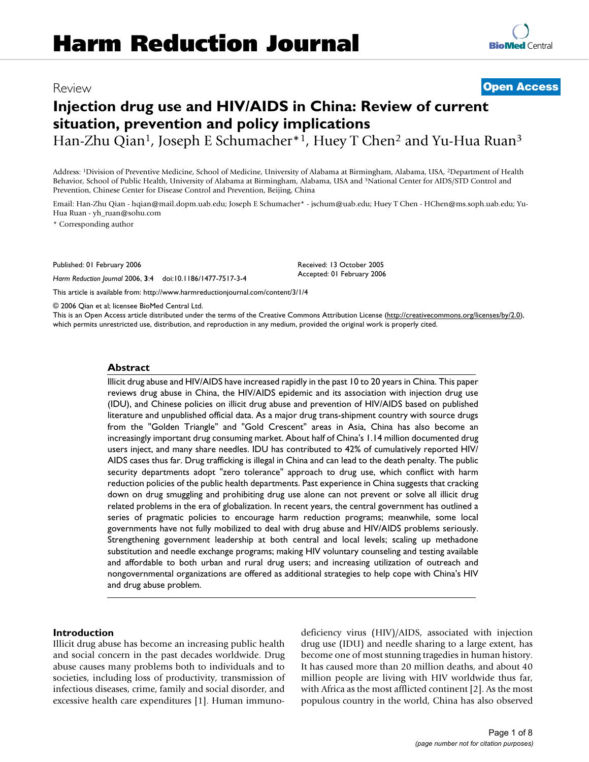# Review **[Open Access](http://www.biomedcentral.com/info/about/charter/)**

# **Injection drug use and HIV/AIDS in China: Review of current situation, prevention and policy implications**

Han-Zhu Qian<sup>1</sup>, Joseph E Schumacher<sup>\*1</sup>, Huey T Chen<sup>2</sup> and Yu-Hua Ruan<sup>3</sup>

Address: 1Division of Preventive Medicine, School of Medicine, University of Alabama at Birmingham, Alabama, USA, 2Department of Health Behavior, School of Public Health, University of Alabama at Birmingham, Alabama, USA and 3National Center for AIDS/STD Control and Prevention, Chinese Center for Disease Control and Prevention, Beijing, China

Email: Han-Zhu Qian - hqian@mail.dopm.uab.edu; Joseph E Schumacher\* - jschum@uab.edu; Huey T Chen - HChen@ms.soph.uab.edu; Yu-Hua Ruan - yh\_ruan@sohu.com

\* Corresponding author

Published: 01 February 2006

*Harm Reduction Journal* 2006, **3**:4 doi:10.1186/1477-7517-3-4

Received: 13 October 2005 Accepted: 01 February 2006

[This article is available from: http://www.harmreductionjournal.com/content/3/1/4](http://www.harmreductionjournal.com/content/3/1/4)

© 2006 Qian et al; licensee BioMed Central Ltd.

This is an Open Access article distributed under the terms of the Creative Commons Attribution License [\(http://creativecommons.org/licenses/by/2.0\)](http://creativecommons.org/licenses/by/2.0), which permits unrestricted use, distribution, and reproduction in any medium, provided the original work is properly cited.

### **Abstract**

Illicit drug abuse and HIV/AIDS have increased rapidly in the past 10 to 20 years in China. This paper reviews drug abuse in China, the HIV/AIDS epidemic and its association with injection drug use (IDU), and Chinese policies on illicit drug abuse and prevention of HIV/AIDS based on published literature and unpublished official data. As a major drug trans-shipment country with source drugs from the "Golden Triangle" and "Gold Crescent" areas in Asia, China has also become an increasingly important drug consuming market. About half of China's 1.14 million documented drug users inject, and many share needles. IDU has contributed to 42% of cumulatively reported HIV/ AIDS cases thus far. Drug trafficking is illegal in China and can lead to the death penalty. The public security departments adopt "zero tolerance" approach to drug use, which conflict with harm reduction policies of the public health departments. Past experience in China suggests that cracking down on drug smuggling and prohibiting drug use alone can not prevent or solve all illicit drug related problems in the era of globalization. In recent years, the central government has outlined a series of pragmatic policies to encourage harm reduction programs; meanwhile, some local governments have not fully mobilized to deal with drug abuse and HIV/AIDS problems seriously. Strengthening government leadership at both central and local levels; scaling up methadone substitution and needle exchange programs; making HIV voluntary counseling and testing available and affordable to both urban and rural drug users; and increasing utilization of outreach and nongovernmental organizations are offered as additional strategies to help cope with China's HIV and drug abuse problem.

#### **Introduction**

Illicit drug abuse has become an increasing public health and social concern in the past decades worldwide. Drug abuse causes many problems both to individuals and to societies, including loss of productivity, transmission of infectious diseases, crime, family and social disorder, and excessive health care expenditures [1]. Human immunodeficiency virus (HIV)/AIDS, associated with injection drug use (IDU) and needle sharing to a large extent, has become one of most stunning tragedies in human history. It has caused more than 20 million deaths, and about 40 million people are living with HIV worldwide thus far, with Africa as the most afflicted continent [2]. As the most populous country in the world, China has also observed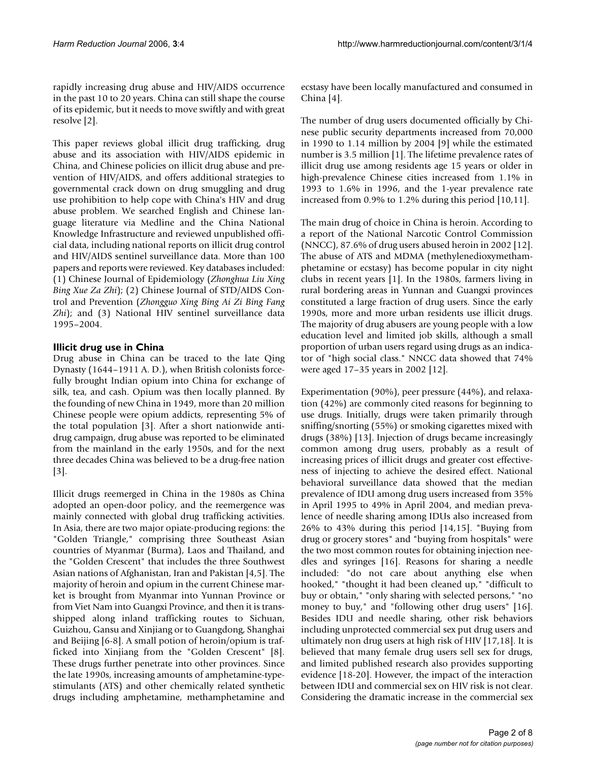rapidly increasing drug abuse and HIV/AIDS occurrence in the past 10 to 20 years. China can still shape the course of its epidemic, but it needs to move swiftly and with great resolve [2].

This paper reviews global illicit drug trafficking, drug abuse and its association with HIV/AIDS epidemic in China, and Chinese policies on illicit drug abuse and prevention of HIV/AIDS, and offers additional strategies to governmental crack down on drug smuggling and drug use prohibition to help cope with China's HIV and drug abuse problem. We searched English and Chinese language literature via Medline and the China National Knowledge Infrastructure and reviewed unpublished official data, including national reports on illicit drug control and HIV/AIDS sentinel surveillance data. More than 100 papers and reports were reviewed. Key databases included: (1) Chinese Journal of Epidemiology (*Zhonghua Liu Xing Bing Xue Za Zhi*); (2) Chinese Journal of STD/AIDS Control and Prevention (*Zhongguo Xing Bing Ai Zi Bing Fang Zhi*); and (3) National HIV sentinel surveillance data 1995–2004.

# **Illicit drug use in China**

Drug abuse in China can be traced to the late Qing Dynasty (1644–1911 A. D.), when British colonists forcefully brought Indian opium into China for exchange of silk, tea, and cash. Opium was then locally planned. By the founding of new China in 1949, more than 20 million Chinese people were opium addicts, representing 5% of the total population [3]. After a short nationwide antidrug campaign, drug abuse was reported to be eliminated from the mainland in the early 1950s, and for the next three decades China was believed to be a drug-free nation [3].

Illicit drugs reemerged in China in the 1980s as China adopted an open-door policy, and the reemergence was mainly connected with global drug trafficking activities. In Asia, there are two major opiate-producing regions: the "Golden Triangle," comprising three Southeast Asian countries of Myanmar (Burma), Laos and Thailand, and the "Golden Crescent" that includes the three Southwest Asian nations of Afghanistan, Iran and Pakistan [4,5]. The majority of heroin and opium in the current Chinese market is brought from Myanmar into Yunnan Province or from Viet Nam into Guangxi Province, and then it is transshipped along inland trafficking routes to Sichuan, Guizhou, Gansu and Xinjiang or to Guangdong, Shanghai and Beijing [6-8]. A small potion of heroin/opium is trafficked into Xinjiang from the "Golden Crescent" [8]. These drugs further penetrate into other provinces. Since the late 1990s, increasing amounts of amphetamine-typestimulants (ATS) and other chemically related synthetic drugs including amphetamine, methamphetamine and

ecstasy have been locally manufactured and consumed in China [4].

The number of drug users documented officially by Chinese public security departments increased from 70,000 in 1990 to 1.14 million by 2004 [9] while the estimated number is 3.5 million [1]. The lifetime prevalence rates of illicit drug use among residents age 15 years or older in high-prevalence Chinese cities increased from 1.1% in 1993 to 1.6% in 1996, and the 1-year prevalence rate increased from 0.9% to 1.2% during this period [10,11].

The main drug of choice in China is heroin. According to a report of the National Narcotic Control Commission (NNCC), 87.6% of drug users abused heroin in 2002 [12]. The abuse of ATS and MDMA (methylenedioxymethamphetamine or ecstasy) has become popular in city night clubs in recent years [1]. In the 1980s, farmers living in rural bordering areas in Yunnan and Guangxi provinces constituted a large fraction of drug users. Since the early 1990s, more and more urban residents use illicit drugs. The majority of drug abusers are young people with a low education level and limited job skills, although a small proportion of urban users regard using drugs as an indicator of "high social class." NNCC data showed that 74% were aged 17–35 years in 2002 [12].

Experimentation (90%), peer pressure (44%), and relaxation (42%) are commonly cited reasons for beginning to use drugs. Initially, drugs were taken primarily through sniffing/snorting (55%) or smoking cigarettes mixed with drugs (38%) [13]. Injection of drugs became increasingly common among drug users, probably as a result of increasing prices of illicit drugs and greater cost effectiveness of injecting to achieve the desired effect. National behavioral surveillance data showed that the median prevalence of IDU among drug users increased from 35% in April 1995 to 49% in April 2004, and median prevalence of needle sharing among IDUs also increased from 26% to 43% during this period [14,15]. "Buying from drug or grocery stores" and "buying from hospitals" were the two most common routes for obtaining injection needles and syringes [16]. Reasons for sharing a needle included: "do not care about anything else when hooked," "thought it had been cleaned up," "difficult to buy or obtain," "only sharing with selected persons," "no money to buy," and "following other drug users" [16]. Besides IDU and needle sharing, other risk behaviors including unprotected commercial sex put drug users and ultimately non drug users at high risk of HIV [17,18]. It is believed that many female drug users sell sex for drugs, and limited published research also provides supporting evidence [18-20]. However, the impact of the interaction between IDU and commercial sex on HIV risk is not clear. Considering the dramatic increase in the commercial sex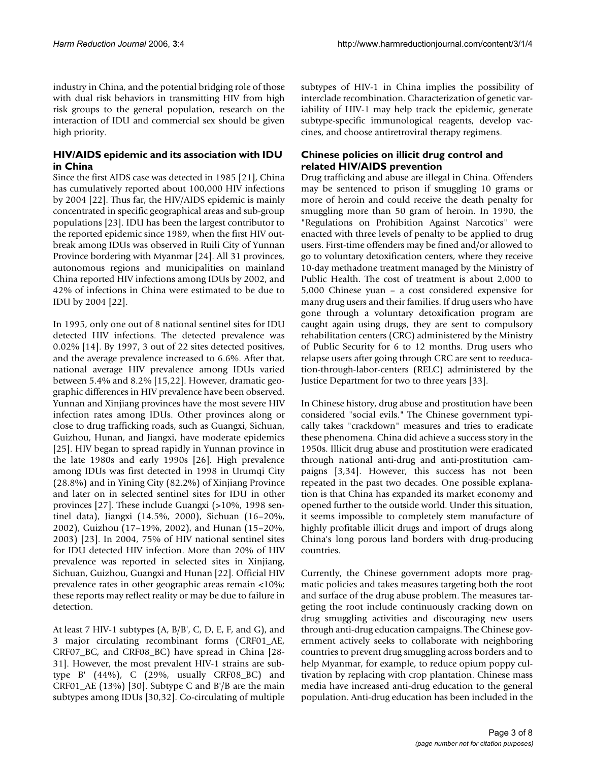industry in China, and the potential bridging role of those with dual risk behaviors in transmitting HIV from high risk groups to the general population, research on the interaction of IDU and commercial sex should be given high priority.

# **HIV/AIDS epidemic and its association with IDU in China**

Since the first AIDS case was detected in 1985 [21], China has cumulatively reported about 100,000 HIV infections by 2004 [22]. Thus far, the HIV/AIDS epidemic is mainly concentrated in specific geographical areas and sub-group populations [23]. IDU has been the largest contributor to the reported epidemic since 1989, when the first HIV outbreak among IDUs was observed in Ruili City of Yunnan Province bordering with Myanmar [24]. All 31 provinces, autonomous regions and municipalities on mainland China reported HIV infections among IDUs by 2002, and 42% of infections in China were estimated to be due to IDU by 2004 [22].

In 1995, only one out of 8 national sentinel sites for IDU detected HIV infections. The detected prevalence was 0.02% [14]. By 1997, 3 out of 22 sites detected positives, and the average prevalence increased to 6.6%. After that, national average HIV prevalence among IDUs varied between 5.4% and 8.2% [15,22]. However, dramatic geographic differences in HIV prevalence have been observed. Yunnan and Xinjiang provinces have the most severe HIV infection rates among IDUs. Other provinces along or close to drug trafficking roads, such as Guangxi, Sichuan, Guizhou, Hunan, and Jiangxi, have moderate epidemics [25]. HIV began to spread rapidly in Yunnan province in the late 1980s and early 1990s [26]. High prevalence among IDUs was first detected in 1998 in Urumqi City (28.8%) and in Yining City (82.2%) of Xinjiang Province and later on in selected sentinel sites for IDU in other provinces [27]. These include Guangxi (>10%, 1998 sentinel data), Jiangxi (14.5%, 2000), Sichuan (16–20%, 2002), Guizhou (17–19%, 2002), and Hunan (15–20%, 2003) [23]. In 2004, 75% of HIV national sentinel sites for IDU detected HIV infection. More than 20% of HIV prevalence was reported in selected sites in Xinjiang, Sichuan, Guizhou, Guangxi and Hunan [22]. Official HIV prevalence rates in other geographic areas remain <10%; these reports may reflect reality or may be due to failure in detection.

At least 7 HIV-1 subtypes (A, B/B', C, D, E, F, and G), and 3 major circulating recombinant forms (CRF01\_AE, CRF07\_BC, and CRF08\_BC) have spread in China [28- 31]. However, the most prevalent HIV-1 strains are subtype B' (44%), C (29%, usually CRF08\_BC) and CRF01\_AE  $(13%)$  [30]. Subtype C and B'/B are the main subtypes among IDUs [30,32]. Co-circulating of multiple subtypes of HIV-1 in China implies the possibility of interclade recombination. Characterization of genetic variability of HIV-1 may help track the epidemic, generate subtype-specific immunological reagents, develop vaccines, and choose antiretroviral therapy regimens.

# **Chinese policies on illicit drug control and related HIV/AIDS prevention**

Drug trafficking and abuse are illegal in China. Offenders may be sentenced to prison if smuggling 10 grams or more of heroin and could receive the death penalty for smuggling more than 50 gram of heroin. In 1990, the "Regulations on Prohibition Against Narcotics" were enacted with three levels of penalty to be applied to drug users. First-time offenders may be fined and/or allowed to go to voluntary detoxification centers, where they receive 10-day methadone treatment managed by the Ministry of Public Health. The cost of treatment is about 2,000 to 5,000 Chinese yuan – a cost considered expensive for many drug users and their families. If drug users who have gone through a voluntary detoxification program are caught again using drugs, they are sent to compulsory rehabilitation centers (CRC) administered by the Ministry of Public Security for 6 to 12 months. Drug users who relapse users after going through CRC are sent to reeducation-through-labor-centers (RELC) administered by the Justice Department for two to three years [33].

In Chinese history, drug abuse and prostitution have been considered "social evils." The Chinese government typically takes "crackdown" measures and tries to eradicate these phenomena. China did achieve a success story in the 1950s. Illicit drug abuse and prostitution were eradicated through national anti-drug and anti-prostitution campaigns [3,34]. However, this success has not been repeated in the past two decades. One possible explanation is that China has expanded its market economy and opened further to the outside world. Under this situation, it seems impossible to completely stem manufacture of highly profitable illicit drugs and import of drugs along China's long porous land borders with drug-producing countries.

Currently, the Chinese government adopts more pragmatic policies and takes measures targeting both the root and surface of the drug abuse problem. The measures targeting the root include continuously cracking down on drug smuggling activities and discouraging new users through anti-drug education campaigns. The Chinese government actively seeks to collaborate with neighboring countries to prevent drug smuggling across borders and to help Myanmar, for example, to reduce opium poppy cultivation by replacing with crop plantation. Chinese mass media have increased anti-drug education to the general population. Anti-drug education has been included in the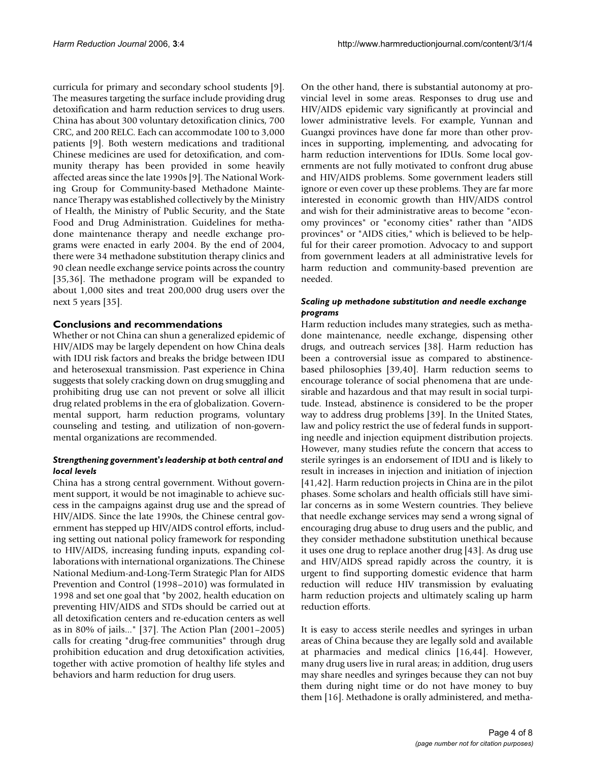curricula for primary and secondary school students [9]. The measures targeting the surface include providing drug detoxification and harm reduction services to drug users. China has about 300 voluntary detoxification clinics, 700 CRC, and 200 RELC. Each can accommodate 100 to 3,000 patients [9]. Both western medications and traditional Chinese medicines are used for detoxification, and community therapy has been provided in some heavily affected areas since the late 1990s [9]. The National Working Group for Community-based Methadone Maintenance Therapy was established collectively by the Ministry of Health, the Ministry of Public Security, and the State Food and Drug Administration. Guidelines for methadone maintenance therapy and needle exchange programs were enacted in early 2004. By the end of 2004, there were 34 methadone substitution therapy clinics and 90 clean needle exchange service points across the country [35,36]. The methadone program will be expanded to about 1,000 sites and treat 200,000 drug users over the next 5 years [35].

# **Conclusions and recommendations**

Whether or not China can shun a generalized epidemic of HIV/AIDS may be largely dependent on how China deals with IDU risk factors and breaks the bridge between IDU and heterosexual transmission. Past experience in China suggests that solely cracking down on drug smuggling and prohibiting drug use can not prevent or solve all illicit drug related problems in the era of globalization. Governmental support, harm reduction programs, voluntary counseling and testing, and utilization of non-governmental organizations are recommended.

## *Strengthening government's leadership at both central and local levels*

China has a strong central government. Without government support, it would be not imaginable to achieve success in the campaigns against drug use and the spread of HIV/AIDS. Since the late 1990s, the Chinese central government has stepped up HIV/AIDS control efforts, including setting out national policy framework for responding to HIV/AIDS, increasing funding inputs, expanding collaborations with international organizations. The Chinese National Medium-and-Long-Term Strategic Plan for AIDS Prevention and Control (1998–2010) was formulated in 1998 and set one goal that "by 2002, health education on preventing HIV/AIDS and STDs should be carried out at all detoxification centers and re-education centers as well as in 80% of jails..." [37]. The Action Plan (2001–2005) calls for creating "drug-free communities" through drug prohibition education and drug detoxification activities, together with active promotion of healthy life styles and behaviors and harm reduction for drug users.

On the other hand, there is substantial autonomy at provincial level in some areas. Responses to drug use and HIV/AIDS epidemic vary significantly at provincial and lower administrative levels. For example, Yunnan and Guangxi provinces have done far more than other provinces in supporting, implementing, and advocating for harm reduction interventions for IDUs. Some local governments are not fully motivated to confront drug abuse and HIV/AIDS problems. Some government leaders still ignore or even cover up these problems. They are far more interested in economic growth than HIV/AIDS control and wish for their administrative areas to become "economy provinces" or "economy cities" rather than "AIDS provinces" or "AIDS cities," which is believed to be helpful for their career promotion. Advocacy to and support from government leaders at all administrative levels for harm reduction and community-based prevention are needed.

## *Scaling up methadone substitution and needle exchange programs*

Harm reduction includes many strategies, such as methadone maintenance, needle exchange, dispensing other drugs, and outreach services [38]. Harm reduction has been a controversial issue as compared to abstinencebased philosophies [39,40]. Harm reduction seems to encourage tolerance of social phenomena that are undesirable and hazardous and that may result in social turpitude. Instead, abstinence is considered to be the proper way to address drug problems [39]. In the United States, law and policy restrict the use of federal funds in supporting needle and injection equipment distribution projects. However, many studies refute the concern that access to sterile syringes is an endorsement of IDU and is likely to result in increases in injection and initiation of injection [41,42]. Harm reduction projects in China are in the pilot phases. Some scholars and health officials still have similar concerns as in some Western countries. They believe that needle exchange services may send a wrong signal of encouraging drug abuse to drug users and the public, and they consider methadone substitution unethical because it uses one drug to replace another drug [43]. As drug use and HIV/AIDS spread rapidly across the country, it is urgent to find supporting domestic evidence that harm reduction will reduce HIV transmission by evaluating harm reduction projects and ultimately scaling up harm reduction efforts.

It is easy to access sterile needles and syringes in urban areas of China because they are legally sold and available at pharmacies and medical clinics [16,44]. However, many drug users live in rural areas; in addition, drug users may share needles and syringes because they can not buy them during night time or do not have money to buy them [16]. Methadone is orally administered, and metha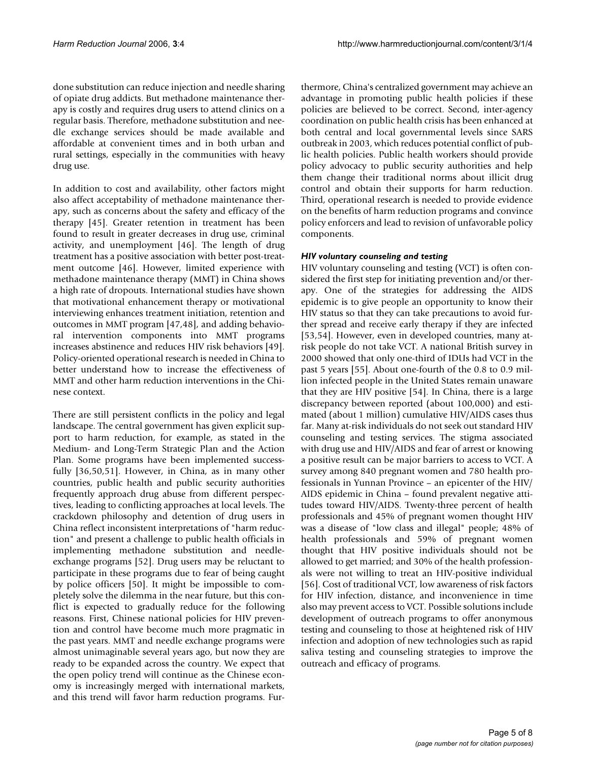done substitution can reduce injection and needle sharing of opiate drug addicts. But methadone maintenance therapy is costly and requires drug users to attend clinics on a regular basis. Therefore, methadone substitution and needle exchange services should be made available and affordable at convenient times and in both urban and rural settings, especially in the communities with heavy drug use.

In addition to cost and availability, other factors might also affect acceptability of methadone maintenance therapy, such as concerns about the safety and efficacy of the therapy [45]. Greater retention in treatment has been found to result in greater decreases in drug use, criminal activity, and unemployment [46]. The length of drug treatment has a positive association with better post-treatment outcome [46]. However, limited experience with methadone maintenance therapy (MMT) in China shows a high rate of dropouts. International studies have shown that motivational enhancement therapy or motivational interviewing enhances treatment initiation, retention and outcomes in MMT program [47,48], and adding behavioral intervention components into MMT programs increases abstinence and reduces HIV risk behaviors [49]. Policy-oriented operational research is needed in China to better understand how to increase the effectiveness of MMT and other harm reduction interventions in the Chinese context.

There are still persistent conflicts in the policy and legal landscape. The central government has given explicit support to harm reduction, for example, as stated in the Medium- and Long-Term Strategic Plan and the Action Plan. Some programs have been implemented successfully [36,50,51]. However, in China, as in many other countries, public health and public security authorities frequently approach drug abuse from different perspectives, leading to conflicting approaches at local levels. The crackdown philosophy and detention of drug users in China reflect inconsistent interpretations of "harm reduction" and present a challenge to public health officials in implementing methadone substitution and needleexchange programs [52]. Drug users may be reluctant to participate in these programs due to fear of being caught by police officers [50]. It might be impossible to completely solve the dilemma in the near future, but this conflict is expected to gradually reduce for the following reasons. First, Chinese national policies for HIV prevention and control have become much more pragmatic in the past years. MMT and needle exchange programs were almost unimaginable several years ago, but now they are ready to be expanded across the country. We expect that the open policy trend will continue as the Chinese economy is increasingly merged with international markets, and this trend will favor harm reduction programs. Furthermore, China's centralized government may achieve an advantage in promoting public health policies if these policies are believed to be correct. Second, inter-agency coordination on public health crisis has been enhanced at both central and local governmental levels since SARS outbreak in 2003, which reduces potential conflict of public health policies. Public health workers should provide policy advocacy to public security authorities and help them change their traditional norms about illicit drug control and obtain their supports for harm reduction. Third, operational research is needed to provide evidence on the benefits of harm reduction programs and convince policy enforcers and lead to revision of unfavorable policy components.

# *HIV voluntary counseling and testing*

HIV voluntary counseling and testing (VCT) is often considered the first step for initiating prevention and/or therapy. One of the strategies for addressing the AIDS epidemic is to give people an opportunity to know their HIV status so that they can take precautions to avoid further spread and receive early therapy if they are infected [53,54]. However, even in developed countries, many atrisk people do not take VCT. A national British survey in 2000 showed that only one-third of IDUs had VCT in the past 5 years [55]. About one-fourth of the 0.8 to 0.9 million infected people in the United States remain unaware that they are HIV positive [54]. In China, there is a large discrepancy between reported (about 100,000) and estimated (about 1 million) cumulative HIV/AIDS cases thus far. Many at-risk individuals do not seek out standard HIV counseling and testing services. The stigma associated with drug use and HIV/AIDS and fear of arrest or knowing a positive result can be major barriers to access to VCT. A survey among 840 pregnant women and 780 health professionals in Yunnan Province – an epicenter of the HIV/ AIDS epidemic in China – found prevalent negative attitudes toward HIV/AIDS. Twenty-three percent of health professionals and 45% of pregnant women thought HIV was a disease of "low class and illegal" people; 48% of health professionals and 59% of pregnant women thought that HIV positive individuals should not be allowed to get married; and 30% of the health professionals were not willing to treat an HIV-positive individual [56]. Cost of traditional VCT, low awareness of risk factors for HIV infection, distance, and inconvenience in time also may prevent access to VCT. Possible solutions include development of outreach programs to offer anonymous testing and counseling to those at heightened risk of HIV infection and adoption of new technologies such as rapid saliva testing and counseling strategies to improve the outreach and efficacy of programs.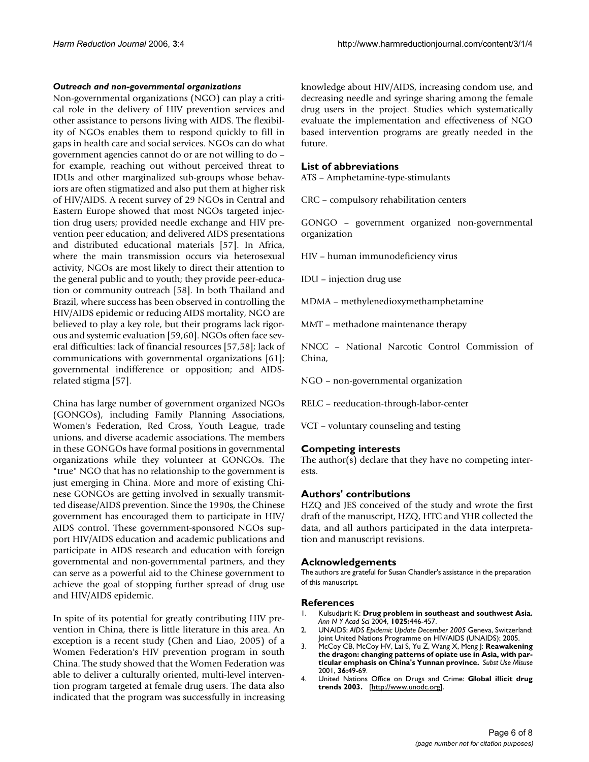### *Outreach and non-governmental organizations*

Non-governmental organizations (NGO) can play a critical role in the delivery of HIV prevention services and other assistance to persons living with AIDS. The flexibility of NGOs enables them to respond quickly to fill in gaps in health care and social services. NGOs can do what government agencies cannot do or are not willing to do – for example, reaching out without perceived threat to IDUs and other marginalized sub-groups whose behaviors are often stigmatized and also put them at higher risk of HIV/AIDS. A recent survey of 29 NGOs in Central and Eastern Europe showed that most NGOs targeted injection drug users; provided needle exchange and HIV prevention peer education; and delivered AIDS presentations and distributed educational materials [57]. In Africa, where the main transmission occurs via heterosexual activity, NGOs are most likely to direct their attention to the general public and to youth; they provide peer-education or community outreach [58]. In both Thailand and Brazil, where success has been observed in controlling the HIV/AIDS epidemic or reducing AIDS mortality, NGO are believed to play a key role, but their programs lack rigorous and systemic evaluation [59,60]. NGOs often face several difficulties: lack of financial resources [57,58]; lack of communications with governmental organizations [61]; governmental indifference or opposition; and AIDSrelated stigma [57].

China has large number of government organized NGOs (GONGOs), including Family Planning Associations, Women's Federation, Red Cross, Youth League, trade unions, and diverse academic associations. The members in these GONGOs have formal positions in governmental organizations while they volunteer at GONGOs. The "true" NGO that has no relationship to the government is just emerging in China. More and more of existing Chinese GONGOs are getting involved in sexually transmitted disease/AIDS prevention. Since the 1990s, the Chinese government has encouraged them to participate in HIV/ AIDS control. These government-sponsored NGOs support HIV/AIDS education and academic publications and participate in AIDS research and education with foreign governmental and non-governmental partners, and they can serve as a powerful aid to the Chinese government to achieve the goal of stopping further spread of drug use and HIV/AIDS epidemic.

In spite of its potential for greatly contributing HIV prevention in China, there is little literature in this area. An exception is a recent study (Chen and Liao, 2005) of a Women Federation's HIV prevention program in south China. The study showed that the Women Federation was able to deliver a culturally oriented, multi-level intervention program targeted at female drug users. The data also indicated that the program was successfully in increasing knowledge about HIV/AIDS, increasing condom use, and decreasing needle and syringe sharing among the female drug users in the project. Studies which systematically evaluate the implementation and effectiveness of NGO based intervention programs are greatly needed in the future.

# **List of abbreviations**

ATS – Amphetamine-type-stimulants

CRC – compulsory rehabilitation centers

GONGO – government organized non-governmental organization

HIV – human immunodeficiency virus

IDU – injection drug use

MDMA – methylenedioxymethamphetamine

MMT – methadone maintenance therapy

NNCC – National Narcotic Control Commission of China,

NGO – non-governmental organization

RELC – reeducation-through-labor-center

VCT – voluntary counseling and testing

## **Competing interests**

The author(s) declare that they have no competing interests.

## **Authors' contributions**

HZQ and JES conceived of the study and wrote the first draft of the manuscript, HZQ, HTC and YHR collected the data, and all authors participated in the data interpretation and manuscript revisions.

#### **Acknowledgements**

The authors are grateful for Susan Chandler's assistance in the preparation of this manuscript.

#### **References**

- 1. Kulsudjarit K: **[Drug problem in southeast and southwest Asia.](http://www.ncbi.nlm.nih.gov/entrez/query.fcgi?cmd=Retrieve&db=PubMed&dopt=Abstract&list_uids=15542748)** *Ann N Y Acad Sci* 2004, **1025:**446-457.
- 2. UNAIDS: *AIDS Epidemic Update December 2005* Geneva, Switzerland: Joint United Nations Programme on HIV/AIDS (UNAIDS); 2005.
- 3. McCoy CB, McCoy HV, Lai S, Yu Z, Wang X, Meng J: **[Reawakening](http://www.ncbi.nlm.nih.gov/entrez/query.fcgi?cmd=Retrieve&db=PubMed&dopt=Abstract&list_uids=11305354) [the dragon: changing patterns of opiate use in Asia, with par](http://www.ncbi.nlm.nih.gov/entrez/query.fcgi?cmd=Retrieve&db=PubMed&dopt=Abstract&list_uids=11305354)[ticular emphasis on China's Yunnan province.](http://www.ncbi.nlm.nih.gov/entrez/query.fcgi?cmd=Retrieve&db=PubMed&dopt=Abstract&list_uids=11305354)** *Subst Use Misuse* 2001, **36:**49-69.
- 4. United Nations Office on Drugs and Crime: **Global illicit drug trends 2003.** [\[http://www.unodc.org\]](http://www.unodc.org).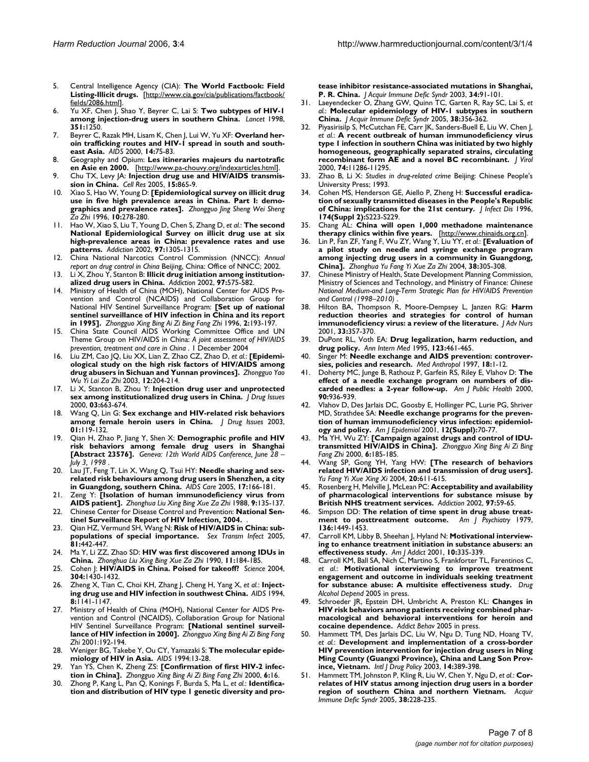- 5. Central Intelligence Agency (CIA): **The World Factbook: Field Listing-Illicit drugs.** [[http://www.cia.gov/cia/publications/factbook/](http://www.cia.gov/cia/publications/factbook/fields/2086.html) [fields/2086.html](http://www.cia.gov/cia/publications/factbook/fields/2086.html)].
- 6. Yu XF, Chen J, Shao Y, Beyrer C, Lai S: **[Two subtypes of HIV-1](http://www.ncbi.nlm.nih.gov/entrez/query.fcgi?cmd=Retrieve&db=PubMed&dopt=Abstract&list_uids=9643749) [among injection-drug users in southern China.](http://www.ncbi.nlm.nih.gov/entrez/query.fcgi?cmd=Retrieve&db=PubMed&dopt=Abstract&list_uids=9643749)** *Lancet* 1998, **351:**1250.
- 7. Beyrer C, Razak MH, Lisam K, Chen J, Lui W, Yu XF: **[Overland her](http://www.ncbi.nlm.nih.gov/entrez/query.fcgi?cmd=Retrieve&db=PubMed&dopt=Abstract&list_uids=10714570)[oin trafficking routes and HIV-1 spread in south and south](http://www.ncbi.nlm.nih.gov/entrez/query.fcgi?cmd=Retrieve&db=PubMed&dopt=Abstract&list_uids=10714570)[east Asia.](http://www.ncbi.nlm.nih.gov/entrez/query.fcgi?cmd=Retrieve&db=PubMed&dopt=Abstract&list_uids=10714570)** *AIDS* 2000, **14:**75-83.
- 8. Geography and Opium: **Les itineraries majeurs du nartotrafic en Asie en 2000.** [\[http://www.pa-chouvy.org/indexarticles.html\]](http://www.pa-chouvy.org/indexarticles.html).
- 9. Chu TX, Levy JA: **[Injection drug use and HIV/AIDS transmis](http://www.ncbi.nlm.nih.gov/entrez/query.fcgi?cmd=Retrieve&db=PubMed&dopt=Abstract&list_uids=16354561)[sion in China.](http://www.ncbi.nlm.nih.gov/entrez/query.fcgi?cmd=Retrieve&db=PubMed&dopt=Abstract&list_uids=16354561)** *Cell Res* 2005, **15:**865-9.
- 10. Xiao S, Hao W, Young D: **[Epidemiological survey on illicit drug use in five high prevalence areas in China. Part I: demographics and prevalence rates].** *Zhongguo Jing Sheng Wei Sheng Za Zhi* 1996, **10:**278-280.
- 11. Hao W, Xiao S, Liu T, Young D, Chen S, Zhang D, *et al.*: **[The second](http://www.ncbi.nlm.nih.gov/entrez/query.fcgi?cmd=Retrieve&db=PubMed&dopt=Abstract&list_uids=12359035) [National Epidemiological Survey on illicit drug use at six](http://www.ncbi.nlm.nih.gov/entrez/query.fcgi?cmd=Retrieve&db=PubMed&dopt=Abstract&list_uids=12359035) high-prevalence areas in China: prevalence rates and use [patterns.](http://www.ncbi.nlm.nih.gov/entrez/query.fcgi?cmd=Retrieve&db=PubMed&dopt=Abstract&list_uids=12359035)** *Addiction* 2002, **97:**1305-1315.
- 12. China National Narcotics Control Commission (NNCC): *Annual report on drug control in China* Beijing, China: Office of NNCC; 2002.
- 13. Li X, Zhou Y, Stanton B: **[Illicit drug initiation among institution](http://www.ncbi.nlm.nih.gov/entrez/query.fcgi?cmd=Retrieve&db=PubMed&dopt=Abstract&list_uids=12033658)[alized drug users in China.](http://www.ncbi.nlm.nih.gov/entrez/query.fcgi?cmd=Retrieve&db=PubMed&dopt=Abstract&list_uids=12033658)** *Addiction* 2002, **97:**575-582.
- 14. Ministry of Health of China (MOH), National Center for AIDS Prevention and Control (NCAIDS) and Collaboration Group for National HIV Sentinel Surveillance Program: **[Set up of national sentinel surveillance of HIV infection in China and its report in 1995].** *Zhongguo Xing Bing Ai Zi Bing Fang Zhi* 1996, **2:**193-197.
- 15. China State Council AIDS Working Committee Office and UN Theme Group on HIV/AIDS in China: *A joint assessment of HIV/AIDS prevention, treatment and care in China* . 1 December 2004
- 16. Liu ZM, Cao JQ, Liu XX, Lian Z, Zhao CZ, Zhao D, *et al.*: **[Epidemiological study on the high risk factors of HIV/AIDS among drug abusers in Sichuan and Yunnan provinces].** *Zhongguo Yao Wu Yi Lai Za Zhi* 2003, **12:**204-214.
- 17. Li X, Stanton B, Zhou Y: **Injection drug user and unprotected sex among institutionalized drug users in China.** *J Drug Issues* 2000, **03:**663-674.
- 18. Wang Q, Lin G: **Sex exchange and HIV-related risk behaviors among female heroin users in China.** *J Drug Issues* 2003, **01:**119-132.
- 19. Qian H, Zhao P, Jiang Y, Shen X: **Demographic profile and HIV risk behaviors among female drug users in Shanghai [Abstract 23576].** *Geneva: 12th World AIDS Conference, June 28 – July 3, 1998* .
- 20. Lau JT, Feng T, Lin X, Wang Q, Tsui HY: **[Needle sharing and sex](http://www.ncbi.nlm.nih.gov/entrez/query.fcgi?cmd=Retrieve&db=PubMed&dopt=Abstract&list_uids=15763712)[related risk behaviours among drug users in Shenzhen, a city](http://www.ncbi.nlm.nih.gov/entrez/query.fcgi?cmd=Retrieve&db=PubMed&dopt=Abstract&list_uids=15763712) [in Guangdong, southern China.](http://www.ncbi.nlm.nih.gov/entrez/query.fcgi?cmd=Retrieve&db=PubMed&dopt=Abstract&list_uids=15763712)** *AIDS Care* 2005, **17:**166-181.
- 21. Zeng Y: **[\[Isolation of human immunodeficiency virus from](http://www.ncbi.nlm.nih.gov/entrez/query.fcgi?cmd=Retrieve&db=PubMed&dopt=Abstract&list_uids=3064916) [AIDS patient\].](http://www.ncbi.nlm.nih.gov/entrez/query.fcgi?cmd=Retrieve&db=PubMed&dopt=Abstract&list_uids=3064916)** *Zhonghua Liu Xing Bing Xue Za Zhi* 1988, **9:**135-137.
- 22. Chinese Center for Disease Control and Prevention: **National Sentinel Surveillance Report of HIV Infection, 2004.** .
- Qian HZ, Vermund SH, Wang N: [Risk of HIV/AIDS in China: sub](http://www.ncbi.nlm.nih.gov/entrez/query.fcgi?cmd=Retrieve&db=PubMed&dopt=Abstract&list_uids=16326842)**[populations of special importance.](http://www.ncbi.nlm.nih.gov/entrez/query.fcgi?cmd=Retrieve&db=PubMed&dopt=Abstract&list_uids=16326842)** *Sex Transm Infect* 2005, **81:**442-447.
- 24. Ma Y, Li ZZ, Zhao SD: **HIV was first discovered among IDUs in China.** *Zhonghua Liu Xing Bing Xue Za Zhi* 1990, **11:**184-185.
- 25. Cohen |: **[HIV/AIDS in China. Poised for takeoff?](http://www.ncbi.nlm.nih.gov/entrez/query.fcgi?cmd=Retrieve&db=PubMed&dopt=Abstract&list_uids=15178777)** Science 2004, **304:**1430-1432.
- 26. Zheng X, Tian C, Choi KH, Zhang J, Cheng H, Yang X, *et al.*: **[Inject](http://www.ncbi.nlm.nih.gov/entrez/query.fcgi?cmd=Retrieve&db=PubMed&dopt=Abstract&list_uids=7986413)[ing drug use and HIV infection in southwest China.](http://www.ncbi.nlm.nih.gov/entrez/query.fcgi?cmd=Retrieve&db=PubMed&dopt=Abstract&list_uids=7986413)** *AIDS* 1994, **8:**1141-1147.
- 27. Ministry of Health of China (MOH), National Center for AIDS Prevention and Control (NCAIDS), Collaboration Group for National HIV Sentinel Surveillance Program: **[National sentinel surveillance of HIV infection in 2000].** *Zhongguo Xing Bing Ai Zi Bing Fang Zhi* 2001:192-194.
- 28. Weniger BG, Takebe Y, Ou CY, Yamazaki S: **The molecular epidemiology of HIV in Asia.** *AIDS* 1994:13-28.
- 29. Yan YS, Chen K, Zheng ZS: **[Confirmation of first HIV-2 infection in China].** *Zhongguo Xing Bing Ai Zi Bing Fang Zhi* 2000, **6:**16.
- 30. Zhong P, Kang L, Pan Q, Konings F, Burda S, Ma L, *et al.*: **[Identifica](http://www.ncbi.nlm.nih.gov/entrez/query.fcgi?cmd=Retrieve&db=PubMed&dopt=Abstract&list_uids=14501800)[tion and distribution of HIV type 1 genetic diversity and pro-](http://www.ncbi.nlm.nih.gov/entrez/query.fcgi?cmd=Retrieve&db=PubMed&dopt=Abstract&list_uids=14501800)**

**[tease inhibitor resistance-associated mutations in Shanghai,](http://www.ncbi.nlm.nih.gov/entrez/query.fcgi?cmd=Retrieve&db=PubMed&dopt=Abstract&list_uids=14501800) [P. R. China.](http://www.ncbi.nlm.nih.gov/entrez/query.fcgi?cmd=Retrieve&db=PubMed&dopt=Abstract&list_uids=14501800)** *J Acquir Immune Defic Syndr* 2003, **34:**91-101.

- 31. Laeyendecker O, Zhang GW, Quinn TC, Garten R, Ray SC, Lai S, *et al.*: **[Molecular epidemiology of HIV-1 subtypes in southern](http://www.ncbi.nlm.nih.gov/entrez/query.fcgi?cmd=Retrieve&db=PubMed&dopt=Abstract&list_uids=15735457) [China.](http://www.ncbi.nlm.nih.gov/entrez/query.fcgi?cmd=Retrieve&db=PubMed&dopt=Abstract&list_uids=15735457)** *J Acquir Immune Defic Syndr* 2005, **38:**356-362.
- 32. Piyasirisilp S, McCutchan FE, Carr JK, Sanders-Buell E, Liu W, Chen J, *et al.*: **[A recent outbreak of human immunodeficiency virus](http://www.ncbi.nlm.nih.gov/entrez/query.fcgi?cmd=Retrieve&db=PubMed&dopt=Abstract&list_uids=11070028) [type 1 infection in southern China was initiated by two highly](http://www.ncbi.nlm.nih.gov/entrez/query.fcgi?cmd=Retrieve&db=PubMed&dopt=Abstract&list_uids=11070028) homogeneous, geographically separated strains, circulating [recombinant form AE and a novel BC recombinant.](http://www.ncbi.nlm.nih.gov/entrez/query.fcgi?cmd=Retrieve&db=PubMed&dopt=Abstract&list_uids=11070028)** *J Virol* 2000, **74:**11286-11295.
- 33. Zhao B, Li X: *Studies in drug-related crime* Beijing: Chinese People's University Press; 1993.
- 34. Cohen MS, Henderson GE, Aiello P, Zheng H: **[Successful eradica](http://www.ncbi.nlm.nih.gov/entrez/query.fcgi?cmd=Retrieve&db=PubMed&dopt=Abstract&list_uids=8843252)[tion of sexually transmitted diseases in the People's Republic](http://www.ncbi.nlm.nih.gov/entrez/query.fcgi?cmd=Retrieve&db=PubMed&dopt=Abstract&list_uids=8843252) [of China: implications for the 21st century.](http://www.ncbi.nlm.nih.gov/entrez/query.fcgi?cmd=Retrieve&db=PubMed&dopt=Abstract&list_uids=8843252)** *J Infect Dis* 1996, **174(Suppl 2):**S223-S229.
- 35. Chang AL: **China will open 1,000 methadone maintenance therapy clinics within five years.** [<http://www.chinaids.org.cn>].
- 36. Lin P, Fan ZF, Yang F, Wu ZY, Wang Y, Liu YY, *et al.*: **[\[Evaluation of](http://www.ncbi.nlm.nih.gov/entrez/query.fcgi?cmd=Retrieve&db=PubMed&dopt=Abstract&list_uids=15498241) [a pilot study on needle and syringe exchange program](http://www.ncbi.nlm.nih.gov/entrez/query.fcgi?cmd=Retrieve&db=PubMed&dopt=Abstract&list_uids=15498241) among injecting drug users in a community in Guangdong, [China\].](http://www.ncbi.nlm.nih.gov/entrez/query.fcgi?cmd=Retrieve&db=PubMed&dopt=Abstract&list_uids=15498241)** *Zhonghua Yu Fang Yi Xue Za Zhi* 2004, **38:**305-308.
- 37. Chinese Ministry of Health, State Development Planning Commission, Ministry of Sciences and Technology, and Ministry of Finance: *Chinese National Medium-and Long-Term Strategic Plan for HIV/AIDS Prevention and Control (1998–2010)* .
- 38. Hilton BA, Thompson R, Moore-Dempsey L, Janzen RG: [Harm](http://www.ncbi.nlm.nih.gov/entrez/query.fcgi?cmd=Retrieve&db=PubMed&dopt=Abstract&list_uids=11251723) **[reduction theories and strategies for control of human](http://www.ncbi.nlm.nih.gov/entrez/query.fcgi?cmd=Retrieve&db=PubMed&dopt=Abstract&list_uids=11251723) [immunodeficiency virus: a review of the literature.](http://www.ncbi.nlm.nih.gov/entrez/query.fcgi?cmd=Retrieve&db=PubMed&dopt=Abstract&list_uids=11251723)** *J Adv Nurs* 2001, **33:**357-370.
- 39. DuPont RL, Voth EA: **[Drug legalization, harm reduction, and](http://www.ncbi.nlm.nih.gov/entrez/query.fcgi?cmd=Retrieve&db=PubMed&dopt=Abstract&list_uids=7639447) [drug policy.](http://www.ncbi.nlm.nih.gov/entrez/query.fcgi?cmd=Retrieve&db=PubMed&dopt=Abstract&list_uids=7639447)** *Ann Intern Med* 1995, **123:**461-465.
- 40. Singer M: **[Needle exchange and AIDS prevention: controver](http://www.ncbi.nlm.nih.gov/entrez/query.fcgi?cmd=Retrieve&db=PubMed&dopt=Abstract&list_uids=9458665)[sies, policies and research.](http://www.ncbi.nlm.nih.gov/entrez/query.fcgi?cmd=Retrieve&db=PubMed&dopt=Abstract&list_uids=9458665)** *Med Anthropol* 1997, **18:**1-12.
- 41. Doherty MC, Junge B, Rathouz P, Garfein RS, Riley E, Vlahov D: **[The](http://www.ncbi.nlm.nih.gov/entrez/query.fcgi?cmd=Retrieve&db=PubMed&dopt=Abstract&list_uids=10846512) [effect of a needle exchange program on numbers of dis](http://www.ncbi.nlm.nih.gov/entrez/query.fcgi?cmd=Retrieve&db=PubMed&dopt=Abstract&list_uids=10846512)[carded needles: a 2-year follow-up.](http://www.ncbi.nlm.nih.gov/entrez/query.fcgi?cmd=Retrieve&db=PubMed&dopt=Abstract&list_uids=10846512)** *Am J Public Health* 2000, **90:**936-939.
- 42. Vlahov D, Des Jarlais DC, Goosby E, Hollinger PC, Lurie PG, Shriver MD, Strathdee SA: **Needle exchange programs for the prevention of human immunodeficiency virus infection: epidemiology and policy.** *Am J Epidemiol* 2001, **12(Suppl):**70-77.
- 43. Ma YH, Wu ZY: **[Campaign against drugs and control of IDUtransmitted HIV/AIDS in China].** *Zhongguo Xing Bing Ai Zi Bing Fang Zhi* 2000, **6:**185-185.
- 44. Wang SP, Gong YH, Yang HW: **[The research of behaviors related HIV/AIDS infection and transmission of drug users].** *Yu Fang Yi Xue Xing Xi* 2004, **20:**611-615.
- 45. Rosenberg H, Melville J, McLean PC: **[Acceptability and availability](http://www.ncbi.nlm.nih.gov/entrez/query.fcgi?cmd=Retrieve&db=PubMed&dopt=Abstract&list_uids=11895271) [of pharmacological interventions for substance misuse by](http://www.ncbi.nlm.nih.gov/entrez/query.fcgi?cmd=Retrieve&db=PubMed&dopt=Abstract&list_uids=11895271) [British NHS treatment services.](http://www.ncbi.nlm.nih.gov/entrez/query.fcgi?cmd=Retrieve&db=PubMed&dopt=Abstract&list_uids=11895271)** *Addiction* 2002, **97:**59-65.
- 46. Simpson DD: **[The relation of time spent in drug abuse treat](http://www.ncbi.nlm.nih.gov/entrez/query.fcgi?cmd=Retrieve&db=PubMed&dopt=Abstract&list_uids=495799)[ment to posttreatment outcome.](http://www.ncbi.nlm.nih.gov/entrez/query.fcgi?cmd=Retrieve&db=PubMed&dopt=Abstract&list_uids=495799)** *Am J Psychiatry* 1979, **136:**1449-1453.
- 47. Carroll KM, Libby B, Sheehan J, Hyland N: **[Motivational interview](http://www.ncbi.nlm.nih.gov/entrez/query.fcgi?cmd=Retrieve&db=PubMed&dopt=Abstract&list_uids=11783748)[ing to enhance treatment initiation in substance abusers: an](http://www.ncbi.nlm.nih.gov/entrez/query.fcgi?cmd=Retrieve&db=PubMed&dopt=Abstract&list_uids=11783748) [effectiveness study.](http://www.ncbi.nlm.nih.gov/entrez/query.fcgi?cmd=Retrieve&db=PubMed&dopt=Abstract&list_uids=11783748)** *Am J Addict* 2001, **10:**335-339.
- 48. Carroll KM, Ball SA, Nich C, Martino S, Frankforter TL, Farentinos C, *et al.*: **[Motivational interviewing to improve treatment](http://www.ncbi.nlm.nih.gov/entrez/query.fcgi?cmd=Retrieve&db=PubMed&dopt=Abstract&list_uids=16169159) [engagement and outcome in individuals seeking treatment](http://www.ncbi.nlm.nih.gov/entrez/query.fcgi?cmd=Retrieve&db=PubMed&dopt=Abstract&list_uids=16169159) [for substance abuse: A multisite effectiveness study.](http://www.ncbi.nlm.nih.gov/entrez/query.fcgi?cmd=Retrieve&db=PubMed&dopt=Abstract&list_uids=16169159)** *Drug Alcohol Depend* 2005 in press.
- 49. Schroeder JR, Epstein DH, Umbricht A, Preston KL: **Changes in HIV risk behaviors among patients receiving combined pharmacological and behavioral interventions for heroin and cocaine dependence.** *Addict Behav* 2005 in press.
- Hammett TM, Des Jarlais DC, Liu W, Ngu D, Tung ND, Hoang TV, *et al.*: **Development and implementation of a cross-border HIV prevention intervention for injection drug users in Ning Ming County (Guangxi Province), China and Lang Son Province, Vietnam.** *Intl J Drug Policy* 2003, **14:**389-398.
- 51. Hammett TM, Johnston P, Kling R, Liu W, Chen Y, Ngu D, *et al.*: **Correlates of HIV status among injection drug users in a border region of southern China and northern Vietnam.** *Acquir Immune Defic Syndr* 2005, **38:**228-235.